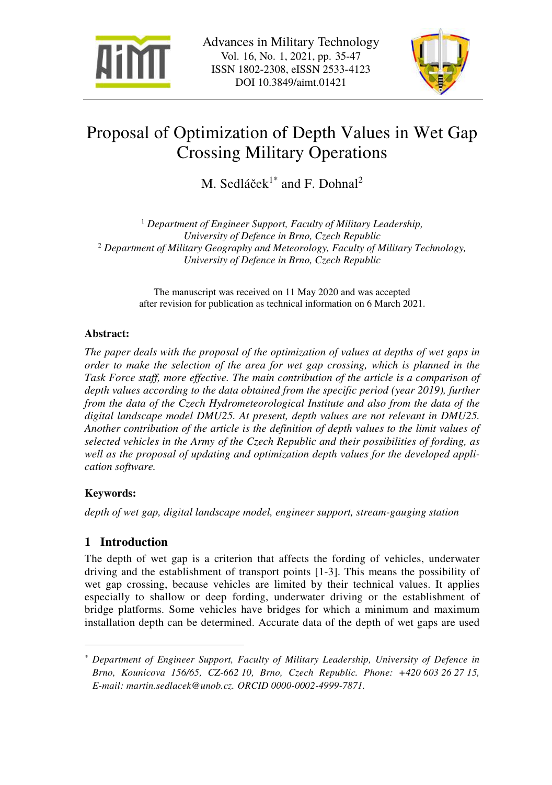



# Proposal of Optimization of Depth Values in Wet Gap Crossing Military Operations

M. Sedláček<sup>1\*</sup> and F. Dohnal<sup>2</sup>

<sup>1</sup> Department of Engineer Support, Faculty of Military Leadership, *University of Defence in Brno, Czech Republic*  2  *Department of Military Geography and Meteorology, Faculty of Military Technology, University of Defence in Brno, Czech Republic* 

> The manuscript was received on 11 May 2020 and was accepted after revision for publication as technical information on 6 March 2021.

## **Abstract:**

*The paper deals with the proposal of the optimization of values at depths of wet gaps in order to make the selection of the area for wet gap crossing, which is planned in the*  Task Force staff, more effective. The main contribution of the article is a comparison of *depth values according to the data obtained from the specific period (year 2019), further from the data of the Czech Hydrometeorological Institute and also from the data of the digital landscape model DMU25. At present, depth values are not relevant in DMU25. Another contribution of the article is the definition of depth values to the limit values of selected vehicles in the Army of the Czech Republic and their possibilities of fording, as well as the proposal of updating and optimization depth values for the developed application software.* 

# **Keywords:**

 $\overline{a}$ 

*depth of wet gap, digital landscape model, engineer support, stream-gauging station* 

# **1 Introduction**

The depth of wet gap is a criterion that affects the fording of vehicles, underwater driving and the establishment of transport points [1-3]. This means the possibility of wet gap crossing, because vehicles are limited by their technical values. It applies especially to shallow or deep fording, underwater driving or the establishment of bridge platforms. Some vehicles have bridges for which a minimum and maximum installation depth can be determined. Accurate data of the depth of wet gaps are used

*<sup>\*</sup> Department of Engineer Support, Faculty of Military Leadership, University of Defence in Brno, Kounicova 156/65, CZ-662 10, Brno, Czech Republic. Phone: +420 603 26 27 15, E-mail: martin.sedlacek@unob.cz. ORCID 0000-0002-4999-7871.*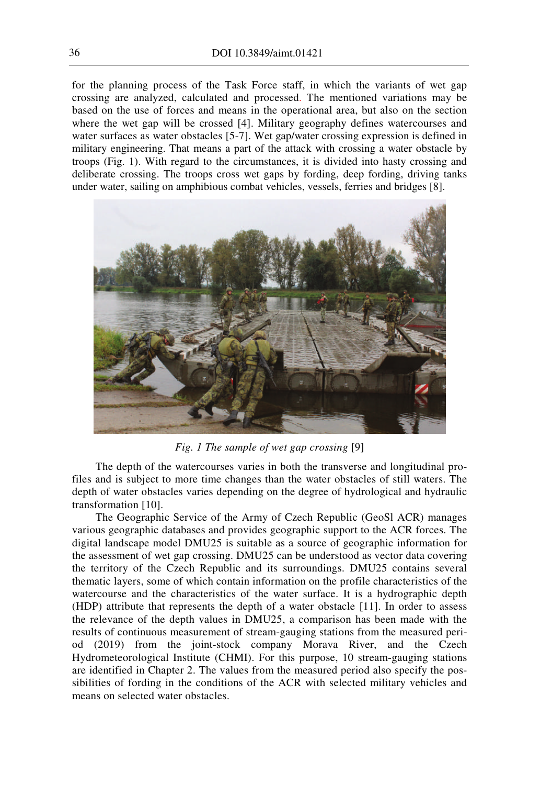for the planning process of the Task Force staff, in which the variants of wet gap crossing are analyzed, calculated and processed. The mentioned variations may be based on the use of forces and means in the operational area, but also on the section where the wet gap will be crossed [4]. Military geography defines watercourses and water surfaces as water obstacles [5-7]. Wet gap/water crossing expression is defined in military engineering. That means a part of the attack with crossing a water obstacle by troops (Fig. 1). With regard to the circumstances, it is divided into hasty crossing and deliberate crossing. The troops cross wet gaps by fording, deep fording, driving tanks under water, sailing on amphibious combat vehicles, vessels, ferries and bridges [8].



*Fig. 1 The sample of wet gap crossing* [9]

The depth of the watercourses varies in both the transverse and longitudinal profiles and is subject to more time changes than the water obstacles of still waters. The depth of water obstacles varies depending on the degree of hydrological and hydraulic transformation [10].

The Geographic Service of the Army of Czech Republic (GeoSl ACR) manages various geographic databases and provides geographic support to the ACR forces. The digital landscape model DMU25 is suitable as a source of geographic information for the assessment of wet gap crossing. DMU25 can be understood as vector data covering the territory of the Czech Republic and its surroundings. DMU25 contains several thematic layers, some of which contain information on the profile characteristics of the watercourse and the characteristics of the water surface. It is a hydrographic depth (HDP) attribute that represents the depth of a water obstacle [11]. In order to assess the relevance of the depth values in DMU25, a comparison has been made with the results of continuous measurement of stream-gauging stations from the measured period (2019) from the joint-stock company Morava River, and the Czech Hydrometeorological Institute (CHMI). For this purpose, 10 stream-gauging stations are identified in Chapter 2. The values from the measured period also specify the possibilities of fording in the conditions of the ACR with selected military vehicles and means on selected water obstacles.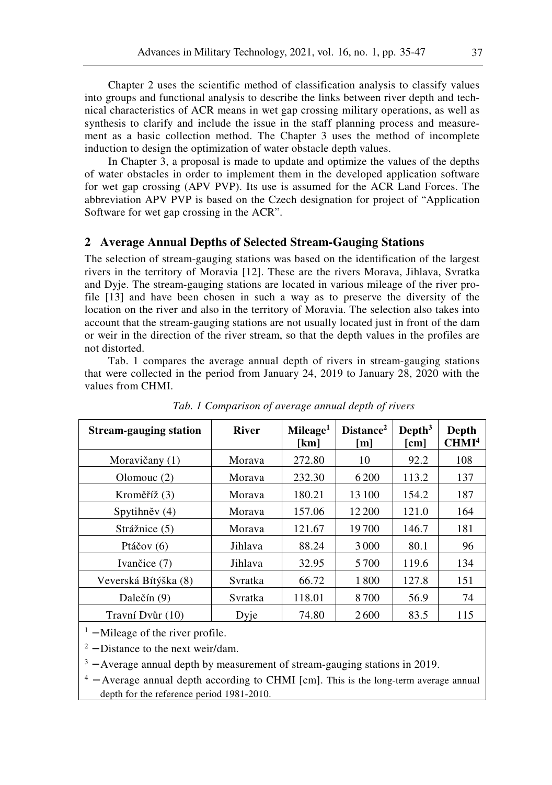Chapter 2 uses the scientific method of classification analysis to classify values into groups and functional analysis to describe the links between river depth and technical characteristics of ACR means in wet gap crossing military operations, as well as synthesis to clarify and include the issue in the staff planning process and measurement as a basic collection method. The Chapter 3 uses the method of incomplete induction to design the optimization of water obstacle depth values.

In Chapter 3, a proposal is made to update and optimize the values of the depths of water obstacles in order to implement them in the developed application software for wet gap crossing (APV PVP). Its use is assumed for the ACR Land Forces. The abbreviation APV PVP is based on the Czech designation for project of "Application Software for wet gap crossing in the ACR".

#### **2 Average Annual Depths of Selected Stream-Gauging Stations**

The selection of stream-gauging stations was based on the identification of the largest rivers in the territory of Moravia [12]. These are the rivers Morava, Jihlava, Svratka and Dyje. The stream-gauging stations are located in various mileage of the river profile [13] and have been chosen in such a way as to preserve the diversity of the location on the river and also in the territory of Moravia. The selection also takes into account that the stream-gauging stations are not usually located just in front of the dam or weir in the direction of the river stream, so that the depth values in the profiles are not distorted.

Tab. 1 compares the average annual depth of rivers in stream-gauging stations that were collected in the period from January 24, 2019 to January 28, 2020 with the values from CHMI.

| <b>Stream-gauging station</b> | <b>River</b> | Mileage <sup>1</sup><br>[km] | Distance <sup>2</sup><br>[m] | Depth <sup>3</sup><br>$[\text{cm}]$ | Depth<br>CHMI <sup>4</sup> |
|-------------------------------|--------------|------------------------------|------------------------------|-------------------------------------|----------------------------|
| Moravičany (1)                | Morava       | 272.80                       | 10                           | 92.2                                | 108                        |
| Olomouc $(2)$                 | Morava       | 232.30                       | 6 200                        | 113.2                               | 137                        |
| Kroměříž (3)                  | Morava       | 180.21                       | 13 100                       | 154.2                               | 187                        |
| Spytihněv (4)                 | Morava       | 157.06                       | 12 200                       | 121.0                               | 164                        |
| Strážnice (5)                 | Morava       | 121.67                       | 19700                        | 146.7                               | 181                        |
| Ptáčov $(6)$                  | Jihlava      | 88.24                        | 3 0 0 0                      | 80.1                                | 96                         |
| Ivančice (7)                  | Jihlava      | 32.95                        | 5700                         | 119.6                               | 134                        |
| Veverská Bítýška (8)          | Svratka      | 66.72                        | 1800                         | 127.8                               | 151                        |
| Dalečín (9)                   | Svratka      | 118.01                       | 8700                         | 56.9                                | 74                         |
| Travní Dvůr (10)              | Dyje         | 74.80                        | 2600                         | 83.5                                | 115                        |

*Tab. 1 Comparison of average annual depth of rivers* 

 $<sup>1</sup>$  – Mileage of the river profile.</sup>

 $2 - Distance$  to the next weir/dam.

 $3 -$  Average annual depth by measurement of stream-gauging stations in 2019.

<sup>4</sup> − Average annual depth according to CHMI [cm]. This is the long-term average annual depth for the reference period 1981-2010.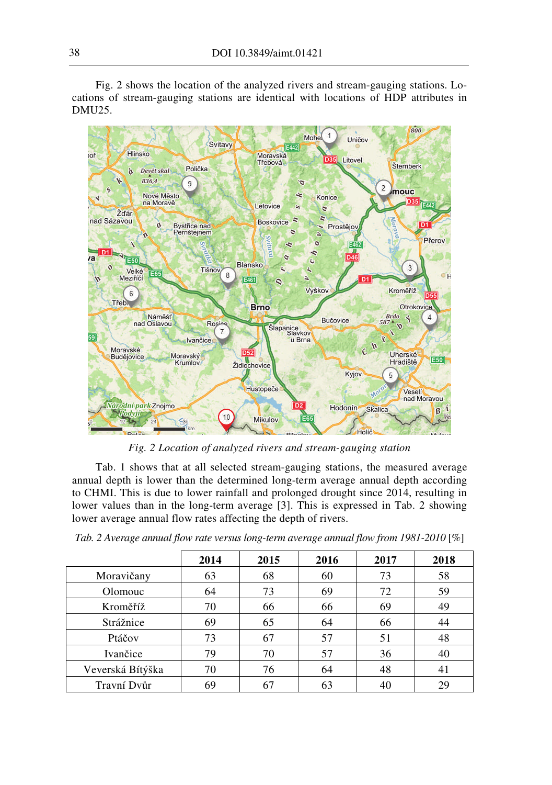Fig. 2 shows the location of the analyzed rivers and stream-gauging stations. Locations of stream-gauging stations are identical with locations of HDP attributes in DMU25.



*Fig. 2 Location of analyzed rivers and stream-gauging station* 

Tab. 1 shows that at all selected stream-gauging stations, the measured average annual depth is lower than the determined long-term average annual depth according to CHMI. This is due to lower rainfall and prolonged drought since 2014, resulting in lower values than in the long-term average [3]. This is expressed in Tab. 2 showing lower average annual flow rates affecting the depth of rivers.

|                  | 2014 | 2015           | 2016 | 2017 | 2018 |
|------------------|------|----------------|------|------|------|
| Moravičany       | 63   | 68             | 60   | 73   | 58   |
| Olomouc          | 64   | 73             | 69   | 72   | 59   |
| Kroměříž         | 70   | 66             | 66   | 69   | 49   |
| Strážnice        | 69   | 65             | 64   | 66   | 44   |
| Ptáčov           | 73   | 67             | 57   | 51   | 48   |
| Ivančice         | 79   | 70             | 57   | 36   | 40   |
| Veverská Bítýška | 70   | 76             | 64   | 48   | 41   |
| Travní Dvůr      | 69   | 6 <sup>7</sup> | 63   | 40   | 29   |

*Tab. 2 Average annual flow rate versus long-term average annual flow from 1981-2010* [%]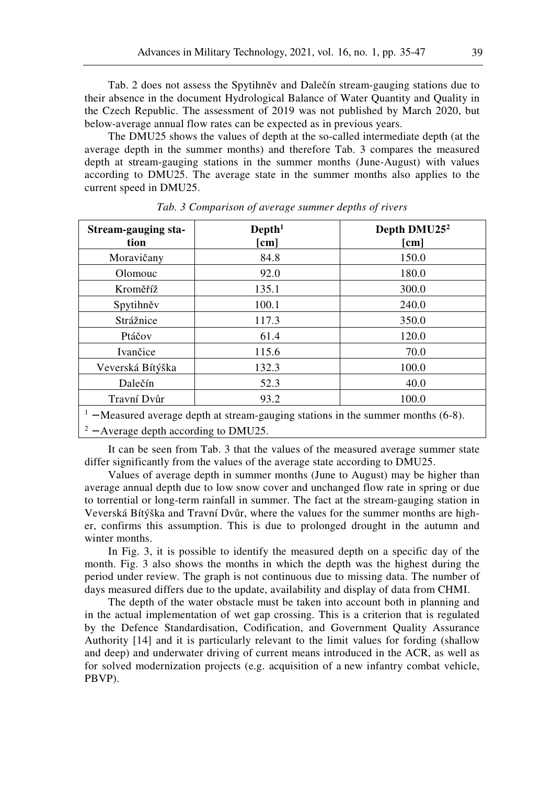Tab. 2 does not assess the Spytihněv and Dalečín stream-gauging stations due to their absence in the document Hydrological Balance of Water Quantity and Quality in the Czech Republic. The assessment of 2019 was not published by March 2020, but below-average annual flow rates can be expected as in previous years.

The DMU25 shows the values of depth at the so-called intermediate depth (at the average depth in the summer months) and therefore Tab. 3 compares the measured depth at stream-gauging stations in the summer months (June-August) with values according to DMU25. The average state in the summer months also applies to the current speed in DMU25.

| Stream-gauging sta-<br>tion | Depth <sup>1</sup><br>[cm] | Depth DMU25 <sup>2</sup><br>[cm] |  |
|-----------------------------|----------------------------|----------------------------------|--|
| Moravičany                  | 84.8                       | 150.0                            |  |
| Olomouc                     | 92.0                       | 180.0                            |  |
| Kroměříž                    | 135.1                      | 300.0                            |  |
| Spytihněv                   | 100.1                      | 240.0                            |  |
| Strážnice                   | 117.3                      | 350.0                            |  |
| Ptáčov                      | 61.4                       | 120.0                            |  |
| Ivančice                    | 115.6                      | 70.0                             |  |
| Veverská Bítýška            | 132.3                      | 100.0                            |  |
| Dalečín                     | 52.3                       | 40.0                             |  |
| Travní Dvůr                 | 93.2                       | 100.0                            |  |

*Tab. 3 Comparison of average summer depths of rivers* 

<sup>1</sup> − Measured average depth at stream-gauging stations in the summer months (6-8).

 $2 -$  Average depth according to DMU25.

It can be seen from Tab. 3 that the values of the measured average summer state differ significantly from the values of the average state according to DMU25.

Values of average depth in summer months (June to August) may be higher than average annual depth due to low snow cover and unchanged flow rate in spring or due to torrential or long-term rainfall in summer. The fact at the stream-gauging station in Veverská Bítýška and Travní Dvůr, where the values for the summer months are higher, confirms this assumption. This is due to prolonged drought in the autumn and winter months.

In Fig. 3, it is possible to identify the measured depth on a specific day of the month. Fig. 3 also shows the months in which the depth was the highest during the period under review. The graph is not continuous due to missing data. The number of days measured differs due to the update, availability and display of data from CHMI.

The depth of the water obstacle must be taken into account both in planning and in the actual implementation of wet gap crossing. This is a criterion that is regulated by the Defence Standardisation, Codification, and Government Quality Assurance Authority [14] and it is particularly relevant to the limit values for fording (shallow and deep) and underwater driving of current means introduced in the ACR, as well as for solved modernization projects (e.g. acquisition of a new infantry combat vehicle, PBVP).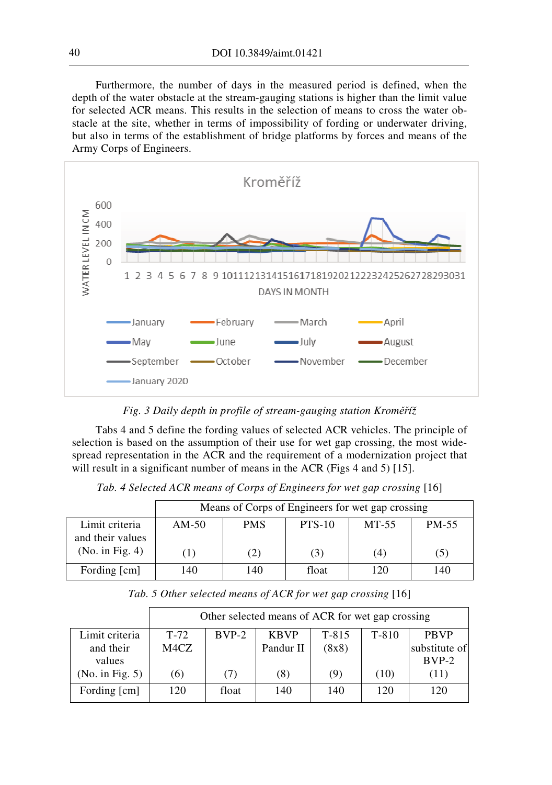Furthermore, the number of days in the measured period is defined, when the depth of the water obstacle at the stream-gauging stations is higher than the limit value for selected ACR means. This results in the selection of means to cross the water obstacle at the site, whether in terms of impossibility of fording or underwater driving, but also in terms of the establishment of bridge platforms by forces and means of the Army Corps of Engineers.



*Fig. 3 Daily depth in profile of stream-gauging station Kroměříž* 

Tabs 4 and 5 define the fording values of selected ACR vehicles. The principle of selection is based on the assumption of their use for wet gap crossing, the most widespread representation in the ACR and the requirement of a modernization project that will result in a significant number of means in the ACR (Figs 4 and 5) [15].

Tab. 4 Selected ACR means of Corps of Engineers for wet gap crossing [16]

|                  | Means of Corps of Engineers for wet gap crossing |            |          |       |       |
|------------------|--------------------------------------------------|------------|----------|-------|-------|
| Limit criteria   | $AM-50$                                          | <b>PMS</b> | $PTS-10$ | MT-55 | PM-55 |
| and their values |                                                  |            |          |       |       |
| (No. in Fig. 4)  |                                                  | (2)        | (3)      | (4)   | (5)   |
| Fording [cm]     | 140                                              | 140        | float    | 120   | 140   |

|                 | Other selected means of ACR for wet gap crossing |         |             |         |       |               |
|-----------------|--------------------------------------------------|---------|-------------|---------|-------|---------------|
| Limit criteria  | $T-72$                                           | $BVP-2$ | <b>KBVP</b> | $T-815$ | T-810 | <b>PBVP</b>   |
| and their       | M4CZ                                             |         | Pandur II   | (8x8)   |       | substitute of |
| values          |                                                  |         |             |         |       | $BVP-2$       |
| (No. in Fig. 5) | (6)                                              | (7)     | (8)         | 9)      | (10)  | (11)          |
| Fording [cm]    | 120                                              | float   | 140         | 140     | 120   | 120           |

Tab. 5 Other selected means of ACR for wet gap crossing [16]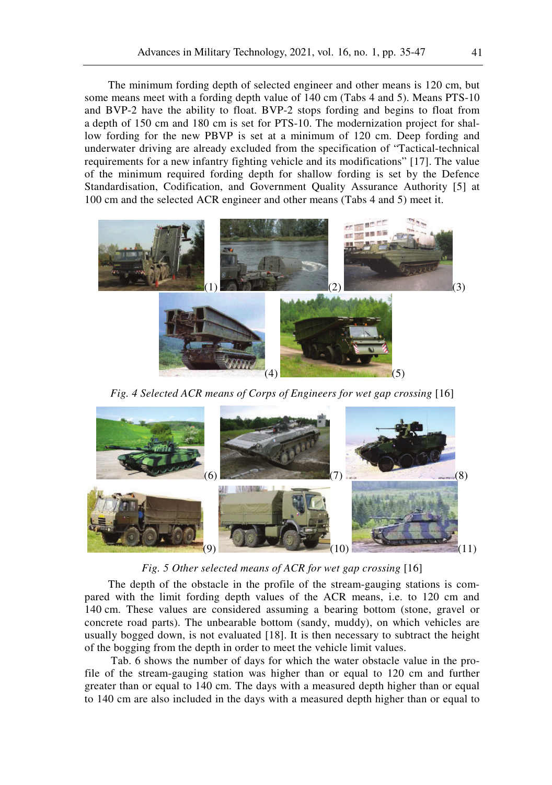The minimum fording depth of selected engineer and other means is 120 cm, but some means meet with a fording depth value of 140 cm (Tabs 4 and 5). Means PTS-10 and BVP-2 have the ability to float. BVP-2 stops fording and begins to float from a depth of 150 cm and 180 cm is set for PTS-10. The modernization project for shallow fording for the new PBVP is set at a minimum of 120 cm. Deep fording and underwater driving are already excluded from the specification of "Tactical-technical requirements for a new infantry fighting vehicle and its modifications" [17]. The value of the minimum required fording depth for shallow fording is set by the Defence Standardisation, Codification, and Government Quality Assurance Authority [5] at 100 cm and the selected ACR engineer and other means (Tabs 4 and 5) meet it.



Fig. 4 Selected ACR means of Corps of Engineers for wet gap crossing [16]



*Fig. 5 Other selected means of ACR for wet gap crossing* [16]

The depth of the obstacle in the profile of the stream-gauging stations is compared with the limit fording depth values of the ACR means, i.e. to 120 cm and 140 cm. These values are considered assuming a bearing bottom (stone, gravel or concrete road parts). The unbearable bottom (sandy, muddy), on which vehicles are usually bogged down, is not evaluated [18]. It is then necessary to subtract the height of the bogging from the depth in order to meet the vehicle limit values.

 Tab. 6 shows the number of days for which the water obstacle value in the profile of the stream-gauging station was higher than or equal to 120 cm and further greater than or equal to 140 cm. The days with a measured depth higher than or equal to 140 cm are also included in the days with a measured depth higher than or equal to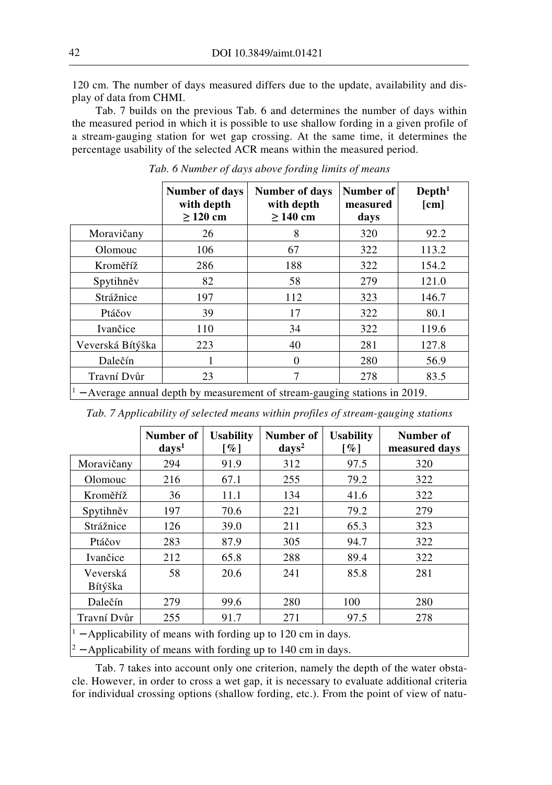120 cm. The number of days measured differs due to the update, availability and display of data from CHMI.

Tab. 7 builds on the previous Tab. 6 and determines the number of days within the measured period in which it is possible to use shallow fording in a given profile of a stream-gauging station for wet gap crossing. At the same time, it determines the percentage usability of the selected ACR means within the measured period.

|                                                                           | <b>Number of days</b><br>with depth<br>$\geq$ 120 cm | Number of days<br>with depth<br>$\geq$ 140 cm | Number of<br>measured<br>days | Depth <sup>1</sup><br>[cm] |  |  |
|---------------------------------------------------------------------------|------------------------------------------------------|-----------------------------------------------|-------------------------------|----------------------------|--|--|
| Moravičany                                                                | 26                                                   | 8                                             | 320                           | 92.2                       |  |  |
| Olomouc                                                                   | 106                                                  | 67                                            | 322                           | 113.2                      |  |  |
| Kroměříž                                                                  | 286                                                  | 188                                           | 322                           | 154.2                      |  |  |
| Spytihněv                                                                 | 82                                                   | 58                                            | 279                           | 121.0                      |  |  |
| Strážnice                                                                 | 197                                                  | 112                                           | 323                           | 146.7                      |  |  |
| Ptáčov                                                                    | 39                                                   | 17                                            | 322                           | 80.1                       |  |  |
| Ivančice                                                                  | 110                                                  | 34                                            | 322                           | 119.6                      |  |  |
| Veverská Bítýška                                                          | 223                                                  | 40                                            | 281                           | 127.8                      |  |  |
| Dalečín                                                                   |                                                      | $\Omega$                                      | 280                           | 56.9                       |  |  |
| Travní Dvůr                                                               | 23                                                   | 7                                             | 278                           | 83.5                       |  |  |
| - Average annual depth by measurement of stream-gauging stations in 2019. |                                                      |                                               |                               |                            |  |  |

*Tab. 6 Number of days above fording limits of means*

|                                                                    | Number of<br>days <sup>1</sup> | <b>Usability</b><br>$\lceil \% \rceil$ | Number of<br>$\langle \text{days}^2 \rangle$ | <b>Usability</b><br>$\lceil \% \rceil$ | Number of<br>measured days |
|--------------------------------------------------------------------|--------------------------------|----------------------------------------|----------------------------------------------|----------------------------------------|----------------------------|
| Moravičany                                                         | 294                            | 91.9                                   | 312                                          | 97.5                                   | 320                        |
| Olomouc                                                            | 216                            | 67.1                                   | 255                                          | 79.2                                   | 322                        |
| Kroměříž                                                           | 36                             | 11.1                                   | 134                                          | 41.6                                   | 322                        |
| Spytihněv                                                          | 197                            | 70.6                                   | 221                                          | 79.2                                   | 279                        |
| Strážnice                                                          | 126                            | 39.0                                   | 211                                          | 65.3                                   | 323                        |
| Ptáčov                                                             | 283                            | 87.9                                   | 305                                          | 94.7                                   | 322                        |
| Ivančice                                                           | 212                            | 65.8                                   | 288                                          | 89.4                                   | 322                        |
| Veverská<br>Bítýška                                                | 58                             | 20.6                                   | 241                                          | 85.8                                   | 281                        |
| Dalečín                                                            | 279                            | 99.6                                   | 280                                          | 100                                    | 280                        |
| Travní Dvůr                                                        | 255                            | 91.7                                   | 271                                          | 97.5                                   | 278                        |
| $\sim$ - Applicability of means with fording up to 120 cm in days. |                                |                                        |                                              |                                        |                            |

*Tab. 7 Applicability of selected means within profiles of stream-gauging stations* 

 $2 -$  Applicability of means with fording up to 140 cm in days.

Tab. 7 takes into account only one criterion, namely the depth of the water obstacle. However, in order to cross a wet gap, it is necessary to evaluate additional criteria for individual crossing options (shallow fording, etc.). From the point of view of natu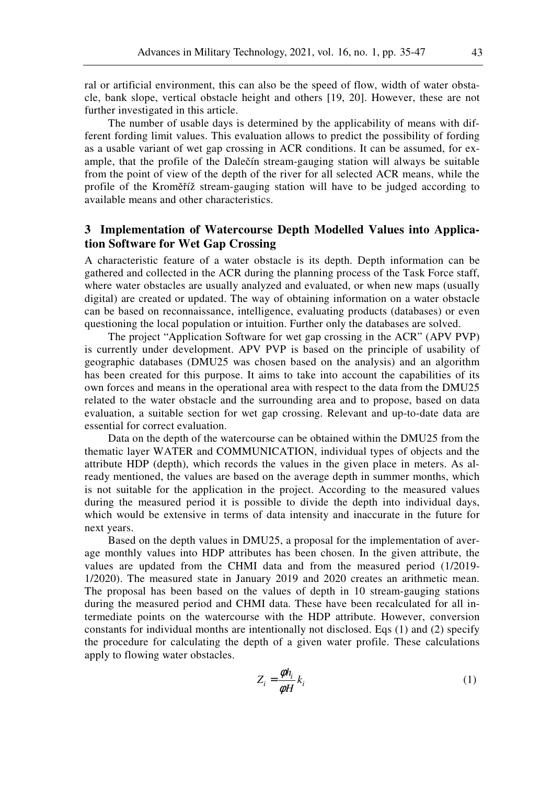ral or artificial environment, this can also be the speed of flow, width of water obstacle, bank slope, vertical obstacle height and others [19, 20]. However, these are not further investigated in this article.

The number of usable days is determined by the applicability of means with different fording limit values. This evaluation allows to predict the possibility of fording as a usable variant of wet gap crossing in ACR conditions. It can be assumed, for example, that the profile of the Dalečín stream-gauging station will always be suitable from the point of view of the depth of the river for all selected ACR means, while the profile of the Kroměříž stream-gauging station will have to be judged according to available means and other characteristics.

### **3 Implementation of Watercourse Depth Modelled Values into Application Software for Wet Gap Crossing**

A characteristic feature of a water obstacle is its depth. Depth information can be gathered and collected in the ACR during the planning process of the Task Force staff, where water obstacles are usually analyzed and evaluated, or when new maps (usually digital) are created or updated. The way of obtaining information on a water obstacle can be based on reconnaissance, intelligence, evaluating products (databases) or even questioning the local population or intuition. Further only the databases are solved.

The project "Application Software for wet gap crossing in the ACR" (APV PVP) is currently under development. APV PVP is based on the principle of usability of geographic databases (DMU25 was chosen based on the analysis) and an algorithm has been created for this purpose. It aims to take into account the capabilities of its own forces and means in the operational area with respect to the data from the DMU25 related to the water obstacle and the surrounding area and to propose, based on data evaluation, a suitable section for wet gap crossing. Relevant and up-to-date data are essential for correct evaluation.

Data on the depth of the watercourse can be obtained within the DMU25 from the thematic layer WATER and COMMUNICATION, individual types of objects and the attribute HDP (depth), which records the values in the given place in meters. As already mentioned, the values are based on the average depth in summer months, which is not suitable for the application in the project. According to the measured values during the measured period it is possible to divide the depth into individual days, which would be extensive in terms of data intensity and inaccurate in the future for next years.

Based on the depth values in DMU25, a proposal for the implementation of average monthly values into HDP attributes has been chosen. In the given attribute, the values are updated from the CHMI data and from the measured period (1/2019- 1/2020). The measured state in January 2019 and 2020 creates an arithmetic mean. The proposal has been based on the values of depth in 10 stream-gauging stations during the measured period and CHMI data. These have been recalculated for all intermediate points on the watercourse with the HDP attribute. However, conversion constants for individual months are intentionally not disclosed. Eqs (1) and (2) specify the procedure for calculating the depth of a given water profile. These calculations apply to flowing water obstacles.

$$
Z_i = \frac{\phi h_i}{\phi H} k_i \tag{1}
$$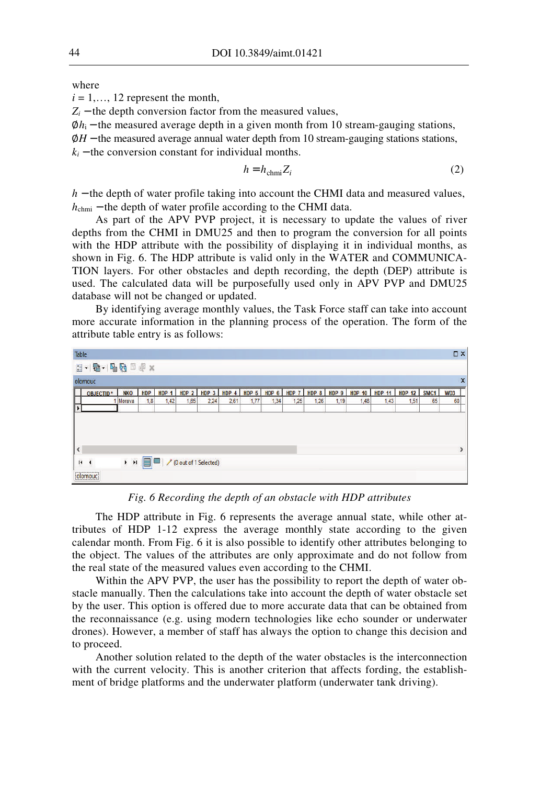where

 $i = 1, \ldots, 12$  represent the month,

 $Z_i$  − the depth conversion factor from the measured values,

 $\phi h_i$  – the measured average depth in a given month from 10 stream-gauging stations,

∅*H* − the measured average annual water depth from 10 stream-gauging stations stations,

 $k_i$  − the conversion constant for individual months.

$$
h = h_{\text{chmi}} Z_i \tag{2}
$$

*h* − the depth of water profile taking into account the CHMI data and measured values, *h*<sub>chmi</sub> – the depth of water profile according to the CHMI data.

As part of the APV PVP project, it is necessary to update the values of river depths from the CHMI in DMU25 and then to program the conversion for all points with the HDP attribute with the possibility of displaying it in individual months, as shown in Fig. 6. The HDP attribute is valid only in the WATER and COMMUNICA-TION layers. For other obstacles and depth recording, the depth (DEP) attribute is used. The calculated data will be purposefully used only in APV PVP and DMU25 database will not be changed or updated.

By identifying average monthly values, the Task Force staff can take into account more accurate information in the planning process of the operation. The form of the attribute table entry is as follows:



*Fig. 6 Recording the depth of an obstacle with HDP attributes* 

The HDP attribute in Fig. 6 represents the average annual state, while other attributes of HDP 1-12 express the average monthly state according to the given calendar month. From Fig. 6 it is also possible to identify other attributes belonging to the object. The values of the attributes are only approximate and do not follow from the real state of the measured values even according to the CHMI.

Within the APV PVP, the user has the possibility to report the depth of water obstacle manually. Then the calculations take into account the depth of water obstacle set by the user. This option is offered due to more accurate data that can be obtained from the reconnaissance (e.g. using modern technologies like echo sounder or underwater drones). However, a member of staff has always the option to change this decision and to proceed.

Another solution related to the depth of the water obstacles is the interconnection with the current velocity. This is another criterion that affects fording, the establishment of bridge platforms and the underwater platform (underwater tank driving).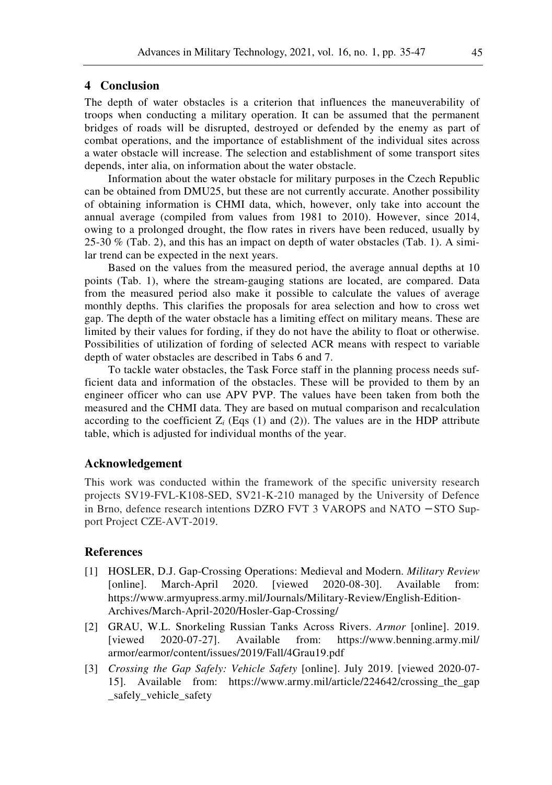## **4 Conclusion**

The depth of water obstacles is a criterion that influences the maneuverability of troops when conducting a military operation. It can be assumed that the permanent bridges of roads will be disrupted, destroyed or defended by the enemy as part of combat operations, and the importance of establishment of the individual sites across a water obstacle will increase. The selection and establishment of some transport sites depends, inter alia, on information about the water obstacle.

Information about the water obstacle for military purposes in the Czech Republic can be obtained from DMU25, but these are not currently accurate. Another possibility of obtaining information is CHMI data, which, however, only take into account the annual average (compiled from values from 1981 to 2010). However, since 2014, owing to a prolonged drought, the flow rates in rivers have been reduced, usually by 25-30  $\%$  (Tab. 2), and this has an impact on depth of water obstacles (Tab. 1). A similar trend can be expected in the next years.

Based on the values from the measured period, the average annual depths at 10 points (Tab. 1), where the stream-gauging stations are located, are compared. Data from the measured period also make it possible to calculate the values of average monthly depths. This clarifies the proposals for area selection and how to cross wet gap. The depth of the water obstacle has a limiting effect on military means. These are limited by their values for fording, if they do not have the ability to float or otherwise. Possibilities of utilization of fording of selected ACR means with respect to variable depth of water obstacles are described in Tabs 6 and 7.

To tackle water obstacles, the Task Force staff in the planning process needs sufficient data and information of the obstacles. These will be provided to them by an engineer officer who can use APV PVP. The values have been taken from both the measured and the CHMI data. They are based on mutual comparison and recalculation according to the coefficient  $Z_i$  (Eqs (1) and (2)). The values are in the HDP attribute table, which is adjusted for individual months of the year.

#### **Acknowledgement**

This work was conducted within the framework of the specific university research projects SV19-FVL-K108-SED, SV21-K-210 managed by the University of Defence in Brno, defence research intentions DZRO FVT 3 VAROPS and NATO − STO Support Project CZE-AVT-2019.

#### **References**

- [1] HOSLER, D.J. Gap-Crossing Operations: Medieval and Modern. *Military Review*  [online]. March-April 2020. [viewed 2020-08-30]. Available from: https://www.armyupress.army.mil/Journals/Military-Review/English-Edition-Archives/March-April-2020/Hosler-Gap-Crossing/
- [2] GRAU, W.L. Snorkeling Russian Tanks Across Rivers. *Armor* [online]. 2019. [viewed 2020-07-27]. Available from: https://www.benning.army.mil/ armor/earmor/content/issues/2019/Fall/4Grau19.pdf
- [3] *Crossing the Gap Safely: Vehicle Safety* [online]. July 2019. [viewed 2020-07- 15]. Available from: https://www.army.mil/article/224642/crossing\_the\_gap safely vehicle safety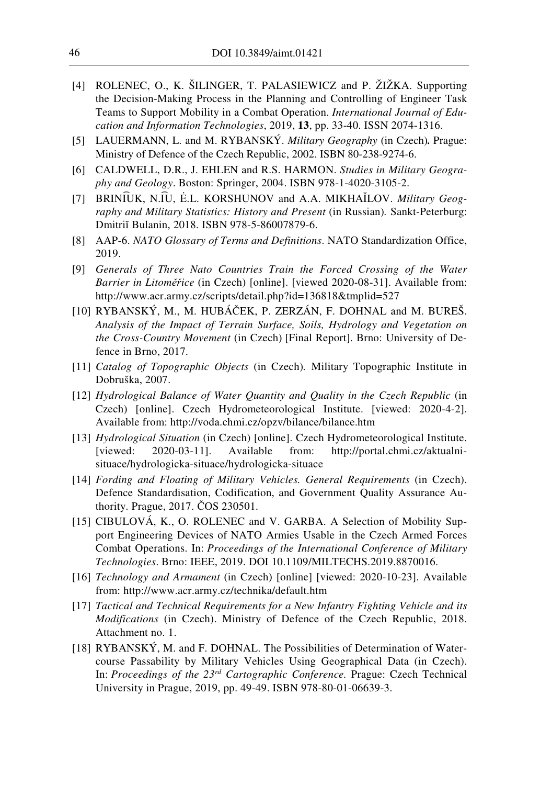- [4] ROLENEC, O., K. ŠILINGER, T. PALASIEWICZ and P. ŽIŽKA. Supporting the Decision-Making Process in the Planning and Controlling of Engineer Task Teams to Support Mobility in a Combat Operation. *International Journal of Education and Information Technologies*, 2019, **13**, pp. 33-40. ISSN 2074-1316.
- [5] LAUERMANN, L. and M. RYBANSKÝ. *Military Geography* (in Czech)*.* Prague: Ministry of Defence of the Czech Republic, 2002. ISBN 80-238-9274-6.
- [6] CALDWELL, D.R., J. EHLEN and R.S. HARMON. *Studies in Military Geography and Geology*. Boston: Springer, 2004. ISBN 978-1-4020-3105-2.
- [7] BRINI͡UK, N.I͡U, Ė .L. KORSHUNOV and A.A. MIKHAĬLOV. *Military Geography and Military Statistics: History and Present* (in Russian)*.* Sankt-Peterburg: Dmitriı̆ Bulanin, 2018. ISBN 978-5-86007879-6.
- [8] AAP-6. *NATO Glossary of Terms and Definitions*. NATO Standardization Office, 2019.
- [9] *Generals of Three Nato Countries Train the Forced Crossing of the Water Barrier in Litoměřice* (in Czech) [online]. [viewed 2020-08-31]. Available from: http://www.acr.army.cz/scripts/detail.php?id=136818&tmplid=527
- [10] RYBANSKÝ, M., M. HUBÁČEK, P. ZERZÁN, F. DOHNAL and M. BUREŠ. *Analysis of the Impact of Terrain Surface, Soils, Hydrology and Vegetation on the Cross-Country Movement* (in Czech) [Final Report]. Brno: University of Defence in Brno, 2017.
- [11] *Catalog of Topographic Objects* (in Czech)*.* Military Topographic Institute in Dobruška, 2007.
- [12] *Hydrological Balance of Water Quantity and Quality in the Czech Republic* (in Czech) [online]. Czech Hydrometeorological Institute. [viewed: 2020-4-2]. Available from: http://voda.chmi.cz/opzv/bilance/bilance.htm
- [13] *Hydrological Situation* (in Czech) [online]. Czech Hydrometeorological Institute. [viewed: 2020-03-11]. Available from: http://portal.chmi.cz/aktualnisituace/hydrologicka-situace/hydrologicka-situace
- [14] *Fording and Floating of Military Vehicles. General Requirements* (in Czech). Defence Standardisation, Codification, and Government Quality Assurance Authority. Prague, 2017. ČOS 230501.
- [15] CIBULOVÁ, K., O. ROLENEC and V. GARBA. A Selection of Mobility Support Engineering Devices of NATO Armies Usable in the Czech Armed Forces Combat Operations. In: *Proceedings of the International Conference of Military Technologies*. Brno: IEEE, 2019. DOI 10.1109/MILTECHS.2019.8870016.
- [16] *Technology and Armament* (in Czech) [online] [viewed: 2020-10-23]. Available from: http://www.acr.army.cz/technika/default.htm
- [17] *Tactical and Technical Requirements for a New Infantry Fighting Vehicle and its Modifications* (in Czech). Ministry of Defence of the Czech Republic, 2018. Attachment no. 1.
- [18] RYBANSKÝ, M. and F. DOHNAL. The Possibilities of Determination of Watercourse Passability by Military Vehicles Using Geographical Data (in Czech). In: *Proceedings of the 23rd Cartographic Conference.* Prague: Czech Technical University in Prague, 2019, pp. 49-49. ISBN 978-80-01-06639-3.